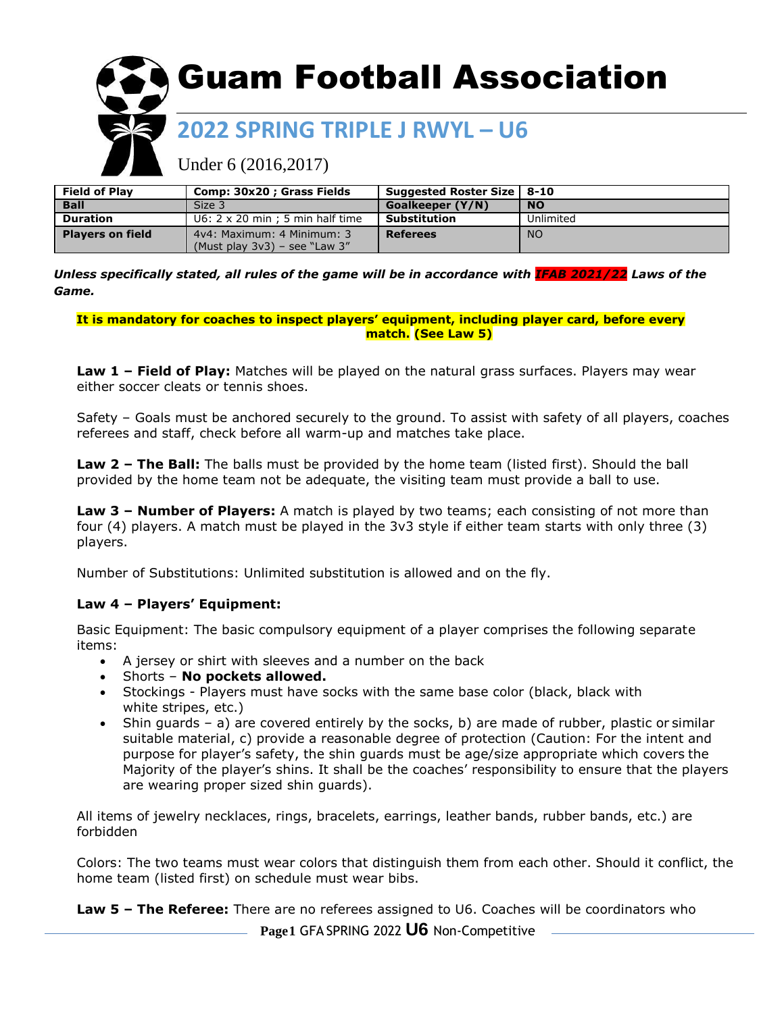

# Under 6 (2016,2017)

| <b>Field of Play</b>    | Comp: 30x20 ; Grass Fields                                        | Suggested Roster Size   8-10 |           |
|-------------------------|-------------------------------------------------------------------|------------------------------|-----------|
| <b>Ball</b>             | Size 3                                                            | Goalkeeper (Y/N)             | <b>NO</b> |
| <b>Duration</b>         | $U6: 2 \times 20$ min ; 5 min half time                           | Substitution                 | Unlimited |
| <b>Players on field</b> | 4y4: Maximum: 4 Minimum: 3<br>(Must play $3v3$ ) – see "Law $3''$ | <b>Referees</b>              | <b>NO</b> |

*Unless specifically stated, all rules of the game will be in accordance with IFAB 2021/22 Laws of the Game.*

**It is mandatory for coaches to inspect players' equipment, including player card, before every match. (See Law 5)**

**Law 1 – Field of Play:** Matches will be played on the natural grass surfaces. Players may wear either soccer cleats or tennis shoes.

Safety – Goals must be anchored securely to the ground. To assist with safety of all players, coaches referees and staff, check before all warm-up and matches take place.

**Law 2 – The Ball:** The balls must be provided by the home team (listed first). Should the ball provided by the home team not be adequate, the visiting team must provide a ball to use.

**Law 3 – Number of Players:** A match is played by two teams; each consisting of not more than four (4) players. A match must be played in the 3v3 style if either team starts with only three (3) players.

Number of Substitutions: Unlimited substitution is allowed and on the fly.

#### **Law 4 – Players' Equipment:**

Basic Equipment: The basic compulsory equipment of a player comprises the following separate items:

- A jersey or shirt with sleeves and a number on the back
- Shorts **No pockets allowed.**
- Stockings Players must have socks with the same base color (black, black with white stripes, etc.)
- Shin guards a) are covered entirely by the socks, b) are made of rubber, plastic or similar suitable material, c) provide a reasonable degree of protection (Caution: For the intent and purpose for player's safety, the shin guards must be age/size appropriate which covers the Majority of the player's shins. It shall be the coaches' responsibility to ensure that the players are wearing proper sized shin guards).

All items of jewelry necklaces, rings, bracelets, earrings, leather bands, rubber bands, etc.) are forbidden

Colors: The two teams must wear colors that distinguish them from each other. Should it conflict, the home team (listed first) on schedule must wear bibs.

**Law 5 – The Referee:** There are no referees assigned to U6. Coaches will be coordinators who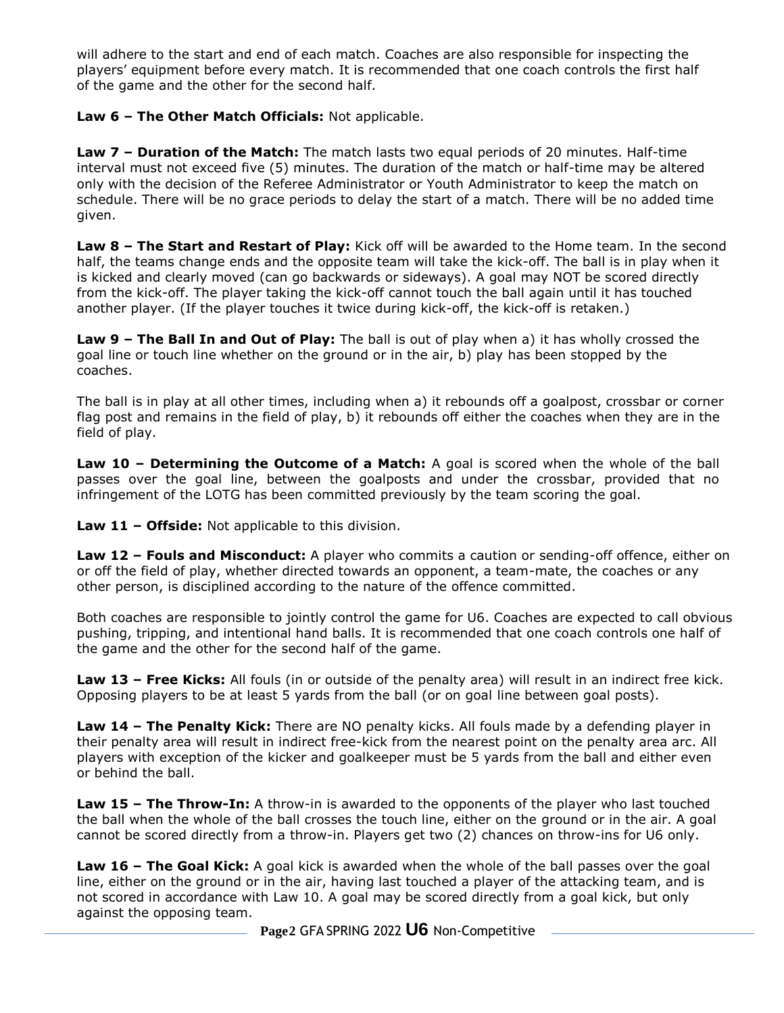will adhere to the start and end of each match. Coaches are also responsible for inspecting the players' equipment before every match. It is recommended that one coach controls the first half of the game and the other for the second half.

### **Law 6 – The Other Match Officials:** Not applicable.

**Law 7 – Duration of the Match:** The match lasts two equal periods of 20 minutes. Half-time interval must not exceed five (5) minutes. The duration of the match or half-time may be altered only with the decision of the Referee Administrator or Youth Administrator to keep the match on schedule. There will be no grace periods to delay the start of a match. There will be no added time given.

**Law 8 – The Start and Restart of Play:** Kick off will be awarded to the Home team. In the second half, the teams change ends and the opposite team will take the kick-off. The ball is in play when it is kicked and clearly moved (can go backwards or sideways). A goal may NOT be scored directly from the kick-off. The player taking the kick-off cannot touch the ball again until it has touched another player. (If the player touches it twice during kick-off, the kick-off is retaken.)

**Law 9 – The Ball In and Out of Play:** The ball is out of play when a) it has wholly crossed the goal line or touch line whether on the ground or in the air, b) play has been stopped by the coaches.

The ball is in play at all other times, including when a) it rebounds off a goalpost, crossbar or corner flag post and remains in the field of play, b) it rebounds off either the coaches when they are in the field of play.

**Law 10 - Determining the Outcome of a Match:** A goal is scored when the whole of the ball passes over the goal line, between the goalposts and under the crossbar, provided that no infringement of the LOTG has been committed previously by the team scoring the goal.

**Law 11 – Offside:** Not applicable to this division.

**Law 12 – Fouls and Misconduct:** A player who commits a caution or sending-off offence, either on or off the field of play, whether directed towards an opponent, a team-mate, the coaches or any other person, is disciplined according to the nature of the offence committed.

Both coaches are responsible to jointly control the game for U6. Coaches are expected to call obvious pushing, tripping, and intentional hand balls. It is recommended that one coach controls one half of the game and the other for the second half of the game.

**Law 13 – Free Kicks:** All fouls (in or outside of the penalty area) will result in an indirect free kick. Opposing players to be at least 5 yards from the ball (or on goal line between goal posts).

**Law 14 – The Penalty Kick:** There are NO penalty kicks. All fouls made by a defending player in their penalty area will result in indirect free-kick from the nearest point on the penalty area arc. All players with exception of the kicker and goalkeeper must be 5 yards from the ball and either even or behind the ball.

**Law 15 – The Throw-In:** A throw-in is awarded to the opponents of the player who last touched the ball when the whole of the ball crosses the touch line, either on the ground or in the air. A goal cannot be scored directly from a throw-in. Players get two (2) chances on throw-ins for U6 only.

**Law 16 – The Goal Kick:** A goal kick is awarded when the whole of the ball passes over the goal line, either on the ground or in the air, having last touched a player of the attacking team, and is not scored in accordance with Law 10. A goal may be scored directly from a goal kick, but only against the opposing team.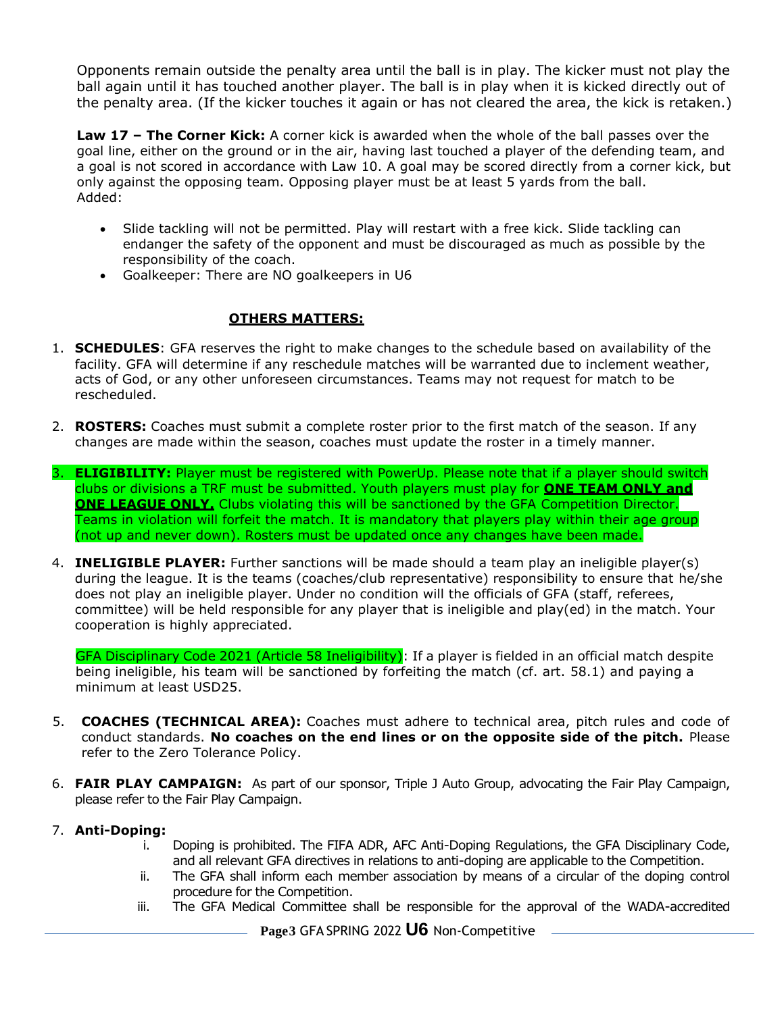Opponents remain outside the penalty area until the ball is in play. The kicker must not play the ball again until it has touched another player. The ball is in play when it is kicked directly out of the penalty area. (If the kicker touches it again or has not cleared the area, the kick is retaken.)

**Law 17 – The Corner Kick:** A corner kick is awarded when the whole of the ball passes over the goal line, either on the ground or in the air, having last touched a player of the defending team, and a goal is not scored in accordance with Law 10. A goal may be scored directly from a corner kick, but only against the opposing team. Opposing player must be at least 5 yards from the ball. Added:

- Slide tackling will not be permitted. Play will restart with a free kick. Slide tackling can endanger the safety of the opponent and must be discouraged as much as possible by the responsibility of the coach.
- Goalkeeper: There are NO goalkeepers in U6

#### **OTHERS MATTERS:**

- 1. **SCHEDULES**: GFA reserves the right to make changes to the schedule based on availability of the facility. GFA will determine if any reschedule matches will be warranted due to inclement weather, acts of God, or any other unforeseen circumstances. Teams may not request for match to be rescheduled.
- 2. **ROSTERS:** Coaches must submit a complete roster prior to the first match of the season. If any changes are made within the season, coaches must update the roster in a timely manner.
- 3. **ELIGIBILITY:** Player must be registered with PowerUp. Please note that if a player should switch clubs or divisions a TRF must be submitted. Youth players must play for **ONE TEAM ONLY and ONE LEAGUE ONLY.** Clubs violating this will be sanctioned by the GFA Competition Director. Teams in violation will forfeit the match. It is mandatory that players play within their age group (not up and never down). Rosters must be updated once any changes have been made.
- 4. **INELIGIBLE PLAYER:** Further sanctions will be made should a team play an ineligible player(s) during the league. It is the teams (coaches/club representative) responsibility to ensure that he/she does not play an ineligible player. Under no condition will the officials of GFA (staff, referees, committee) will be held responsible for any player that is ineligible and play(ed) in the match. Your cooperation is highly appreciated.

GFA Disciplinary Code 2021 (Article 58 Ineligibility): If a player is fielded in an official match despite being ineligible, his team will be sanctioned by forfeiting the match (cf. art. 58.1) and paying a minimum at least USD25.

- 5. **COACHES (TECHNICAL AREA):** Coaches must adhere to technical area, pitch rules and code of conduct standards. **No coaches on the end lines or on the opposite side of the pitch.** Please refer to the Zero Tolerance Policy.
- 6. **FAIR PLAY CAMPAIGN:** As part of our sponsor, Triple J Auto Group, advocating the Fair Play Campaign, please refer to the Fair Play Campaign.

#### 7. **Anti-Doping:**

- i. Doping is prohibited. The FIFA ADR, AFC Anti-Doping Regulations, the GFA Disciplinary Code, and all relevant GFA directives in relations to anti-doping are applicable to the Competition.
- ii. The GFA shall inform each member association by means of a circular of the doping control procedure for the Competition.
- iii. The GFA Medical Committee shall be responsible for the approval of the WADA-accredited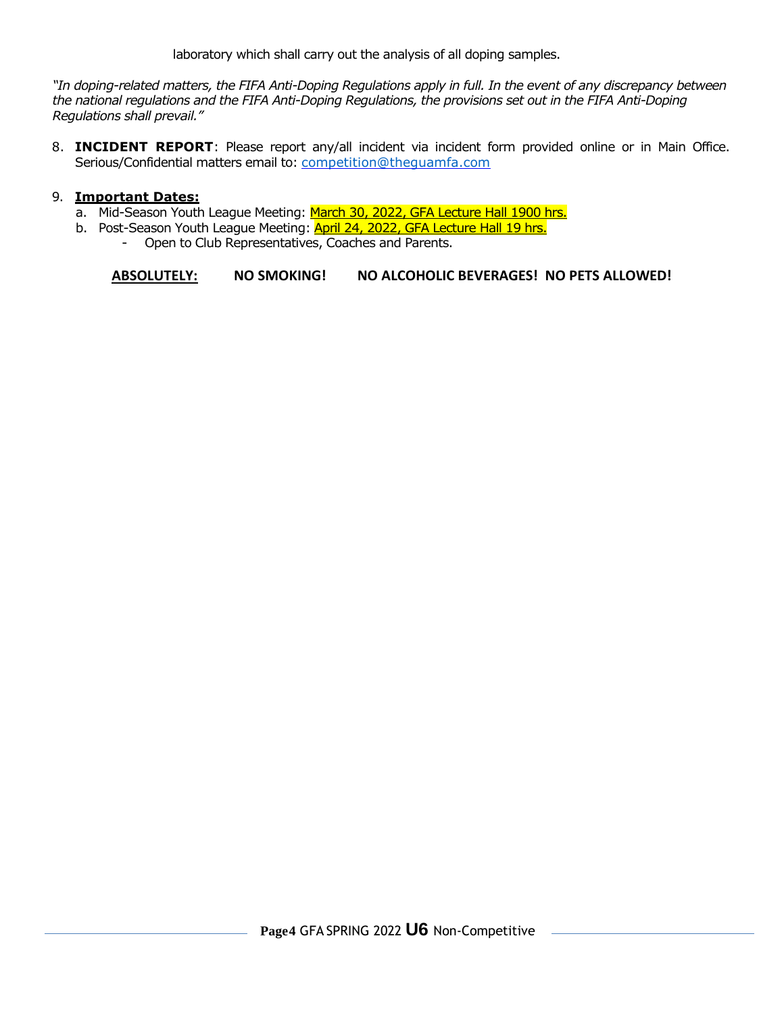laboratory which shall carry out the analysis of all doping samples.

*"In doping-related matters, the FIFA Anti-Doping Regulations apply in full. In the event of any discrepancy between the national regulations and the FIFA Anti-Doping Regulations, the provisions set out in the FIFA Anti-Doping Regulations shall prevail."*

8. **INCIDENT REPORT**: Please report any/all incident via incident form provided online or in Main Office. Serious/Confidential matters email to: competition@thequamfa.com

#### 9. **Important Dates:**

- a. Mid-Season Youth League Meeting: March 30, 2022, GFA Lecture Hall 1900 hrs.
- b. Post-Season Youth League Meeting: **April 24, 2022, GFA Lecture Hall 19 hrs.** 
	- Open to Club Representatives, Coaches and Parents.

**ABSOLUTELY: NO SMOKING! NO ALCOHOLIC BEVERAGES! NO PETS ALLOWED!**